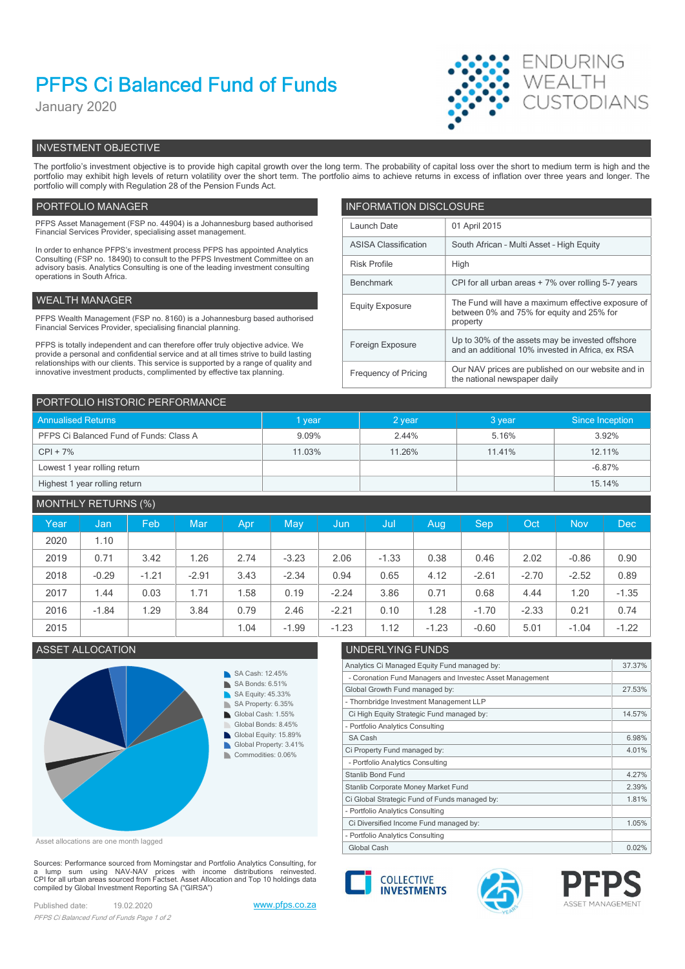# PFPS Ci Balanced Fund of Funds

January 2020



# INVESTMENT OBJECTIVE

The portfolio's investment objective is to provide high capital growth over the long term. The probability of capital loss over the short to medium term is high and the portfolio may exhibit high levels of return volatility over the short term. The portfolio aims to achieve returns in excess of inflation over three years and longer. The portfolio will comply with Regulation 28 of the Pension Funds Act.

## PORTFOLIO MANAGER **INFORMATION DISCLOSURE**

| PFPS Asset Management (FSP no. 44904) is a Johannesburg based authorised<br>Financial Services Provider, specialising asset management.                                | Launch Date                 | 01 April 2015                                                                                        |  |
|------------------------------------------------------------------------------------------------------------------------------------------------------------------------|-----------------------------|------------------------------------------------------------------------------------------------------|--|
| In order to enhance PFPS's investment process PFPS has appointed Analytics                                                                                             | <b>ASISA Classification</b> | South African - Multi Asset - High Equity                                                            |  |
| Consulting (FSP no. 18490) to consult to the PFPS Investment Committee on an<br>advisory basis. Analytics Consulting is one of the leading investment consulting       | <b>Risk Profile</b>         | High                                                                                                 |  |
| operations in South Africa.                                                                                                                                            | Benchmark                   | CPI for all urban areas + 7% over rolling 5-7 years                                                  |  |
| WEALTH MANAGER                                                                                                                                                         | <b>Equity Exposure</b>      | The Fund will have a maximum effective exposure of                                                   |  |
| PFPS Wealth Management (FSP no. 8160) is a Johannesburg based authorised<br>Financial Services Provider, specialising financial planning.                              |                             | between 0% and 75% for equity and 25% for<br>property                                                |  |
| PFPS is totally independent and can therefore offer truly objective advice. We<br>provide a personal and confidential service and at all times strive to build lasting | Foreign Exposure            | Up to 30% of the assets may be invested offshore<br>and an additional 10% invested in Africa, ex RSA |  |
| relationships with our clients. This service is supported by a range of quality and<br>innovative investment products, complimented by effective tax planning.         | Frequency of Pricing        | Our NAV prices are published on our website and in<br>the national newspaper daily                   |  |

| PORTFOLIO HISTORIC PERFORMANCE          |        |        |        |                 |  |  |  |  |
|-----------------------------------------|--------|--------|--------|-----------------|--|--|--|--|
| <b>Annualised Returns</b>               | 1 year | 2 year | 3 year | Since Inception |  |  |  |  |
| PFPS Ci Balanced Fund of Funds: Class A | 9.09%  | 2.44%  | 5.16%  | 3.92%           |  |  |  |  |
| $CPI + 7%$                              | 11.03% | 11.26% | 11.41% | 12.11%          |  |  |  |  |
| Lowest 1 year rolling return            |        |        |        | $-6.87%$        |  |  |  |  |
| Highest 1 year rolling return           |        |        |        | 15.14%          |  |  |  |  |

# MONTHLY RETURNS (%)

| Year | Jan,    | Feb     | Mar     | Apr  | May     | Jun     | /Jul    | Aug     | <b>Sep</b> | Oct <sup>1</sup> | <b>Nov</b> | Dec     |
|------|---------|---------|---------|------|---------|---------|---------|---------|------------|------------------|------------|---------|
| 2020 | 1.10    |         |         |      |         |         |         |         |            |                  |            |         |
| 2019 | 0.71    | 3.42    | .26     | 2.74 | $-3.23$ | 2.06    | $-1.33$ | 0.38    | 0.46       | 2.02             | $-0.86$    | 0.90    |
| 2018 | $-0.29$ | $-1.21$ | $-2.91$ | 3.43 | $-2.34$ | 0.94    | 0.65    | 4.12    | $-2.61$    | $-2.70$          | $-2.52$    | 0.89    |
| 2017 | 1.44    | 0.03    | 1.71    | 1.58 | 0.19    | $-2.24$ | 3.86    | 0.71    | 0.68       | 4.44             | 1.20       | $-1.35$ |
| 2016 | $-1.84$ | .29     | 3.84    | 0.79 | 2.46    | $-2.21$ | 0.10    | .28     | $-1.70$    | $-2.33$          | 0.21       | 0.74    |
| 2015 |         |         |         | 1.04 | $-1.99$ | $-1.23$ | 1.12    | $-1.23$ | $-0.60$    | 5.01             | $-1.04$    | $-1.22$ |



Asset allocations are one month lagged

Sources: Performance sourced from Morningstar and Portfolio Analytics Consulting, for<br>a lump sum using NAV-NAV prices with income distributions reinvested.<br>CPI for all urban areas sourced from Factset. Asset Allocation an compiled by Global Investment Reporting SA ("GIRSA")

Published date: 19.02.2020 www.pfps.co.za PFPS Ci Balanced Fund of Funds Page 1 of 2